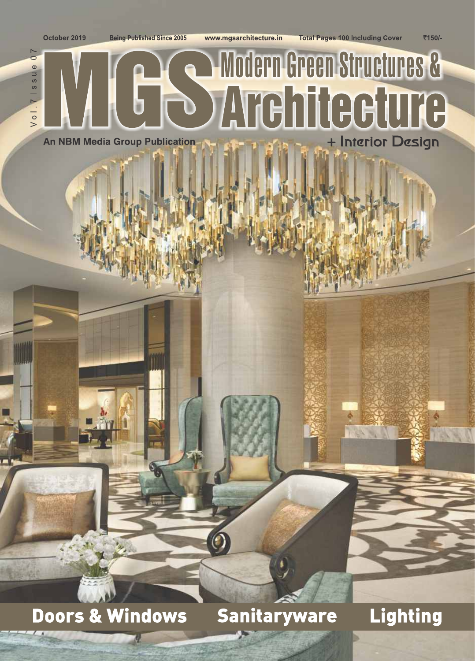October 2019

**Being Published Since 2005** 

www.mgsarchitecture.in

₹150/-

### $\overline{0}$  7  $\omega$ ussl<sub>1</sub>  $\sqrt{01}$ .

## Modern Green Structures & **b Architecture** + Interior Design **An NBM Media Group Publication**

## **Doors & Windows**

**Sanitaryware** 

**Lighting**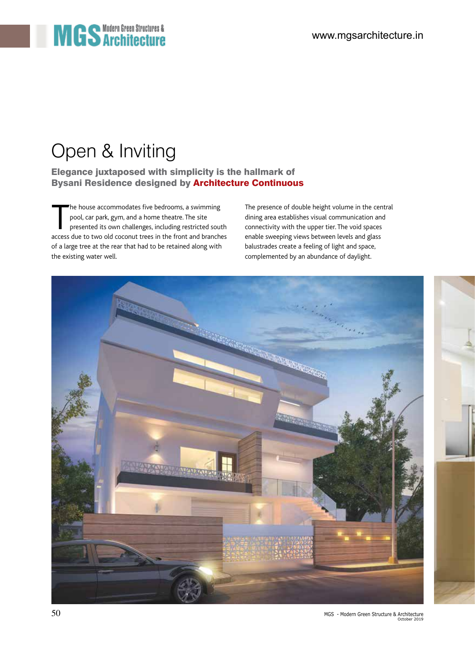# **MGS** Architectures &

## Open & Inviting

Bysani Residence designed by Architecture Continuous Elegance juxtaposed with simplicity is the hallmark of

The house accommodates five bedrooms, a swimming<br>pool, car park, gym, and a home theatre. The site<br>presented its own challenges, including restricted south<br>access due to two old coconut trees in the front and branches The house accommodates five bedrooms, a swimming pool, car park, gym, and a home theatre. The site presented its own challenges, including restricted south of a large tree at the rear that had to be retained along with the existing water well.

The presence of double height volume in the central dining area establishes visual communication and connectivity with the upper tier. The void spaces enable sweeping views between levels and glass balustrades create a feeling of light and space, complemented by an abundance of daylight.

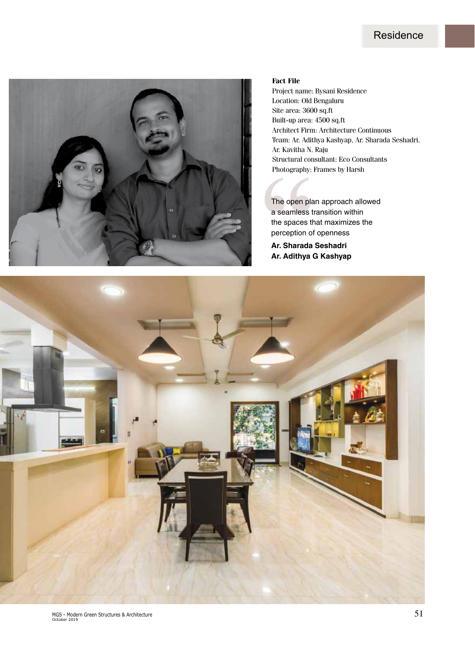#### **Residence**



#### **Fact File**

Project name: Bysani Residence Location: Old Bengaluru Site area: 3600 sq.ft Built-up area: 4500 sq.ft Architect Firm: Architecture Continuous Team: Ar. Adithya Kashyap, Ar. Sharada Seshadri, Ar. Kavitha N. Raju Structural consultant: Eco Consultants Photography: Frames by Harsh

The open plan approach allowed a seamless transition within the spaces that maximizes the perception of openness

**Ar. Sharada Seshadri Ar. Adithya G Kashyap**